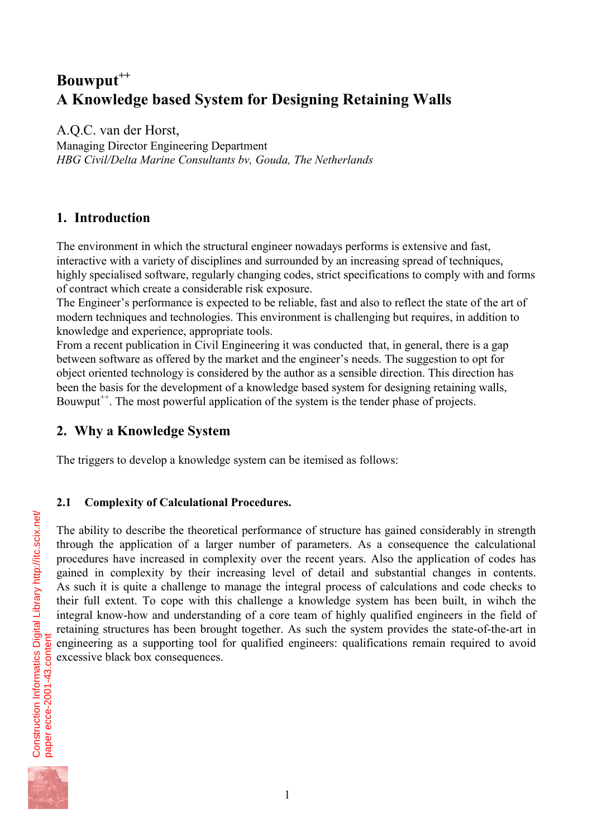# Bouwput<sup>++</sup> **A Knowledge based System for Designing Retaining Walls**

A.Q.C. van der Horst, Managing Director Engineering Department *HBG Civil/Delta Marine Consultants bv, Gouda, The Netherlands*

## **1. Introduction**

The environment in which the structural engineer nowadays performs is extensive and fast, interactive with a variety of disciplines and surrounded by an increasing spread of techniques, highly specialised software, regularly changing codes, strict specifications to comply with and forms of contract which create a considerable risk exposure.

The Engineer's performance is expected to be reliable, fast and also to reflect the state of the art of modern techniques and technologies. This environment is challenging but requires, in addition to knowledge and experience, appropriate tools.

From a recent publication in Civil Engineering it was conducted that, in general, there is a gap between software as offered by the market and the engineer's needs. The suggestion to opt for object oriented technology is considered by the author as a sensible direction. This direction has been the basis for the development of a knowledge based system for designing retaining walls, Bouwput<sup> $+$ </sup>. The most powerful application of the system is the tender phase of projects.

## **2. Why a Knowledge System**

The triggers to develop a knowledge system can be itemised as follows:

#### **2.1 Complexity of Calculational Procedures.**

The ability to describe the theoretical performance of structure has gained considerably in strength through the application of a larger number of parameters. As a consequence the calculational procedures have increased in complexity over the recent years. Also the application of codes has gained in complexity by their increasing level of detail and substantial changes in contents. As such it is quite a challenge to manage the integral process of calculations and code checks to their full extent. To cope with this challenge a knowledge system has been built, in wihch the integral know-how and understanding of a core team of highly qualified engineers in the field of retaining structures has been brought together. As such the system provides the state-of-the-art in engineering as a supporting tool for qualified engineers: qualifications remain required to avoid excessive black box consequences.

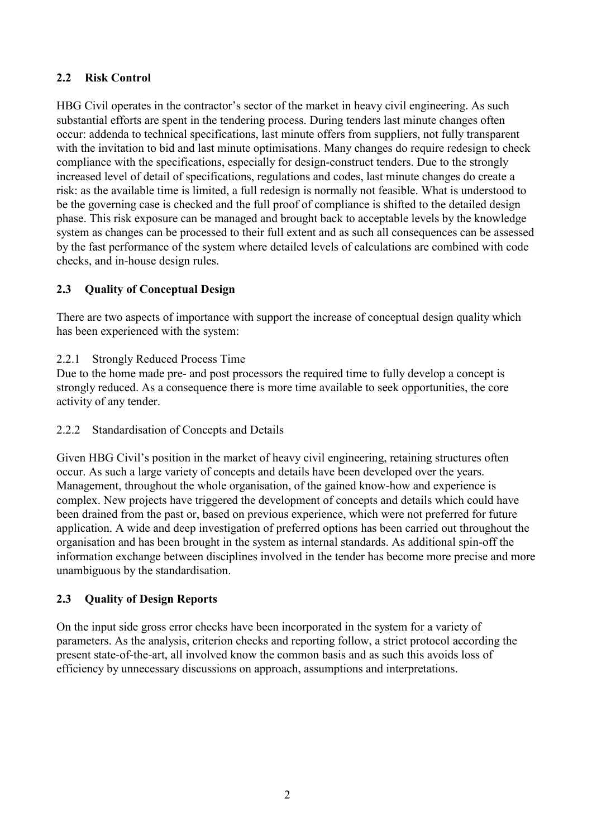#### **2.2 Risk Control**

HBG Civil operates in the contractor's sector of the market in heavy civil engineering. As such substantial efforts are spent in the tendering process. During tenders last minute changes often occur: addenda to technical specifications, last minute offers from suppliers, not fully transparent with the invitation to bid and last minute optimisations. Many changes do require redesign to check compliance with the specifications, especially for design-construct tenders. Due to the strongly increased level of detail of specifications, regulations and codes, last minute changes do create a risk: as the available time is limited, a full redesign is normally not feasible. What is understood to be the governing case is checked and the full proof of compliance is shifted to the detailed design phase. This risk exposure can be managed and brought back to acceptable levels by the knowledge system as changes can be processed to their full extent and as such all consequences can be assessed by the fast performance of the system where detailed levels of calculations are combined with code checks, and in-house design rules.

#### **2.3 Quality of Conceptual Design**

There are two aspects of importance with support the increase of conceptual design quality which has been experienced with the system:

2.2.1 Strongly Reduced Process Time

Due to the home made pre- and post processors the required time to fully develop a concept is strongly reduced. As a consequence there is more time available to seek opportunities, the core activity of any tender.

2.2.2 Standardisation of Concepts and Details

Given HBG Civil's position in the market of heavy civil engineering, retaining structures often occur. As such a large variety of concepts and details have been developed over the years. Management, throughout the whole organisation, of the gained know-how and experience is complex. New projects have triggered the development of concepts and details which could have been drained from the past or, based on previous experience, which were not preferred for future application. A wide and deep investigation of preferred options has been carried out throughout the organisation and has been brought in the system as internal standards. As additional spin-off the information exchange between disciplines involved in the tender has become more precise and more unambiguous by the standardisation.

#### **2.3 Quality of Design Reports**

On the input side gross error checks have been incorporated in the system for a variety of parameters. As the analysis, criterion checks and reporting follow, a strict protocol according the present state-of-the-art, all involved know the common basis and as such this avoids loss of efficiency by unnecessary discussions on approach, assumptions and interpretations.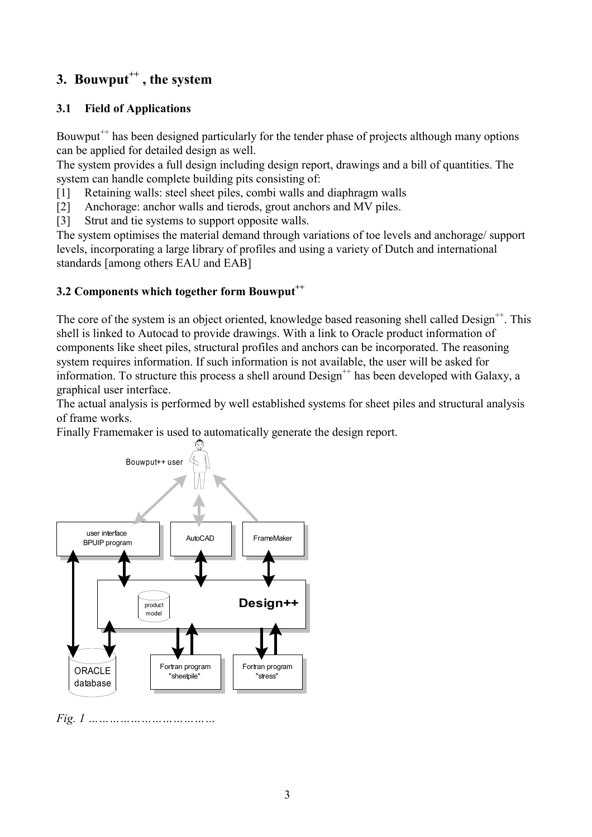## **3. Bouwput++ , the system**

## **3.1 Field of Applications**

Bouwput<sup> $+$ </sup> has been designed particularly for the tender phase of projects although many options can be applied for detailed design as well.

The system provides a full design including design report, drawings and a bill of quantities. The system can handle complete building pits consisting of:

[1] Retaining walls: steel sheet piles, combi walls and diaphragm walls

[2] Anchorage: anchor walls and tierods, grout anchors and MV piles.

[3] Strut and tie systems to support opposite walls.

The system optimises the material demand through variations of toe levels and anchorage/ support levels, incorporating a large library of profiles and using a variety of Dutch and international standards [among others EAU and EAB]

## **3.2 Components which together form Bouwput**<sup>++</sup>

The core of the system is an object oriented, knowledge based reasoning shell called Design<sup>++</sup>. This shell is linked to Autocad to provide drawings. With a link to Oracle product information of components like sheet piles, structural profiles and anchors can be incorporated. The reasoning system requires information. If such information is not available, the user will be asked for information. To structure this process a shell around  $Design^{++}$  has been developed with Galaxy, a graphical user interface.

The actual analysis is performed by well established systems for sheet piles and structural analysis of frame works.

Finally Framemaker is used to automatically generate the design report.



*Fig. 1 ………………………………*